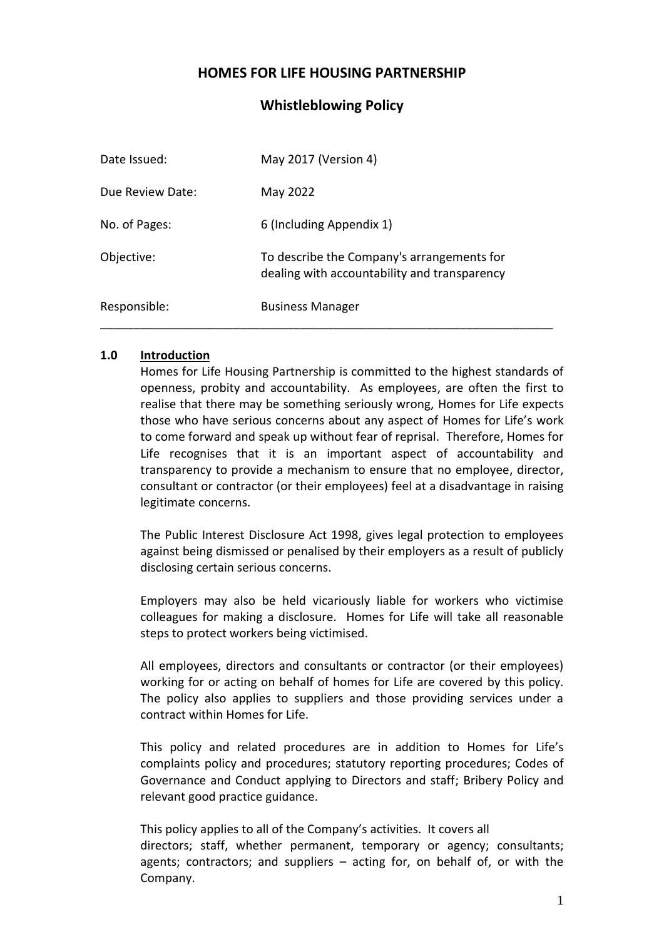## **HOMES FOR LIFE HOUSING PARTNERSHIP**

## **Whistleblowing Policy**

| Date Issued:     | May 2017 (Version 4)                                                                       |
|------------------|--------------------------------------------------------------------------------------------|
| Due Review Date: | May 2022                                                                                   |
| No. of Pages:    | 6 (Including Appendix 1)                                                                   |
| Objective:       | To describe the Company's arrangements for<br>dealing with accountability and transparency |
| Responsible:     | <b>Business Manager</b>                                                                    |

#### **1.0 Introduction**

Homes for Life Housing Partnership is committed to the highest standards of openness, probity and accountability. As employees, are often the first to realise that there may be something seriously wrong, Homes for Life expects those who have serious concerns about any aspect of Homes for Life's work to come forward and speak up without fear of reprisal. Therefore, Homes for Life recognises that it is an important aspect of accountability and transparency to provide a mechanism to ensure that no employee, director, consultant or contractor (or their employees) feel at a disadvantage in raising legitimate concerns.

The Public Interest Disclosure Act 1998, gives legal protection to employees against being dismissed or penalised by their employers as a result of publicly disclosing certain serious concerns.

Employers may also be held vicariously liable for workers who victimise colleagues for making a disclosure. Homes for Life will take all reasonable steps to protect workers being victimised.

All employees, directors and consultants or contractor (or their employees) working for or acting on behalf of homes for Life are covered by this policy. The policy also applies to suppliers and those providing services under a contract within Homes for Life.

This policy and related procedures are in addition to Homes for Life's complaints policy and procedures; statutory reporting procedures; Codes of Governance and Conduct applying to Directors and staff; Bribery Policy and relevant good practice guidance.

This policy applies to all of the Company's activities. It covers all directors; staff, whether permanent, temporary or agency; consultants; agents; contractors; and suppliers – acting for, on behalf of, or with the Company.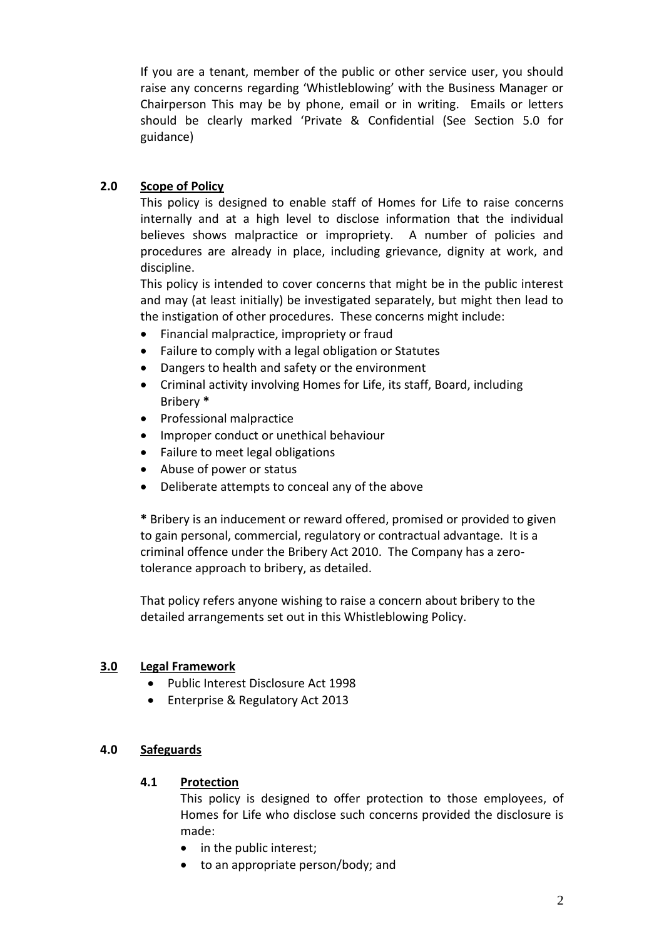If you are a tenant, member of the public or other service user, you should raise any concerns regarding 'Whistleblowing' with the Business Manager or Chairperson This may be by phone, email or in writing. Emails or letters should be clearly marked 'Private & Confidential (See Section 5.0 for guidance)

## **2.0 Scope of Policy**

This policy is designed to enable staff of Homes for Life to raise concerns internally and at a high level to disclose information that the individual believes shows malpractice or impropriety. A number of policies and procedures are already in place, including grievance, dignity at work, and discipline.

This policy is intended to cover concerns that might be in the public interest and may (at least initially) be investigated separately, but might then lead to the instigation of other procedures. These concerns might include:

- Financial malpractice, impropriety or fraud
- Failure to comply with a legal obligation or Statutes
- Dangers to health and safety or the environment
- Criminal activity involving Homes for Life, its staff, Board, including Bribery **\***
- Professional malpractice
- Improper conduct or unethical behaviour
- Failure to meet legal obligations
- Abuse of power or status
- Deliberate attempts to conceal any of the above

**\*** Bribery is an inducement or reward offered, promised or provided to given to gain personal, commercial, regulatory or contractual advantage. It is a criminal offence under the Bribery Act 2010. The Company has a zerotolerance approach to bribery, as detailed.

That policy refers anyone wishing to raise a concern about bribery to the detailed arrangements set out in this Whistleblowing Policy.

## **3.0 Legal Framework**

- Public Interest Disclosure Act 1998
- Enterprise & Regulatory Act 2013

## **4.0 Safeguards**

## **4.1 Protection**

This policy is designed to offer protection to those employees, of Homes for Life who disclose such concerns provided the disclosure is made:

- in the public interest;
- to an appropriate person/body; and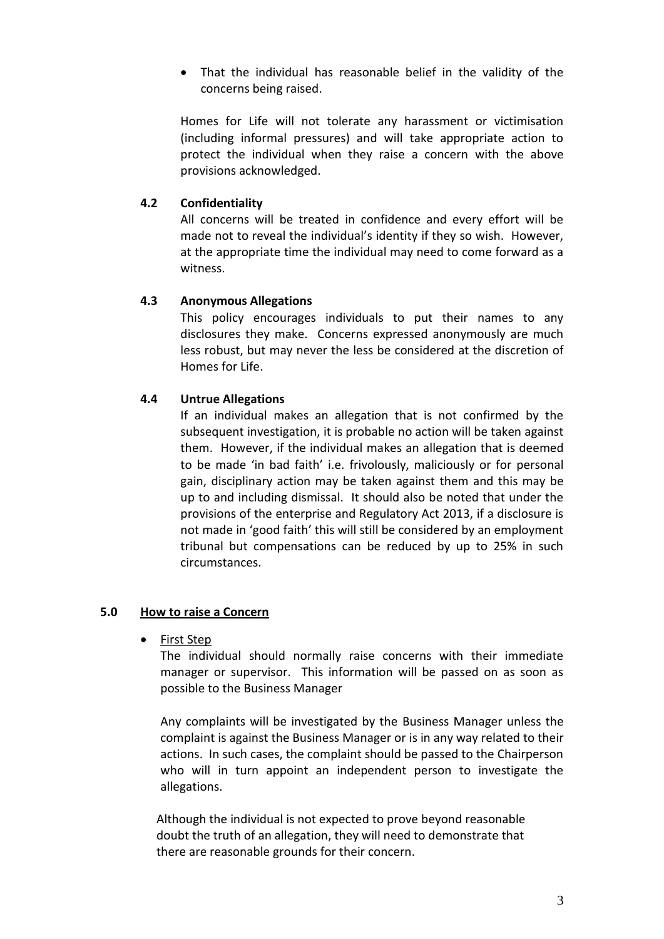• That the individual has reasonable belief in the validity of the concerns being raised.

Homes for Life will not tolerate any harassment or victimisation (including informal pressures) and will take appropriate action to protect the individual when they raise a concern with the above provisions acknowledged.

## **4.2 Confidentiality**

All concerns will be treated in confidence and every effort will be made not to reveal the individual's identity if they so wish. However, at the appropriate time the individual may need to come forward as a witness.

#### **4.3 Anonymous Allegations**

This policy encourages individuals to put their names to any disclosures they make. Concerns expressed anonymously are much less robust, but may never the less be considered at the discretion of Homes for Life.

#### **4.4 Untrue Allegations**

If an individual makes an allegation that is not confirmed by the subsequent investigation, it is probable no action will be taken against them. However, if the individual makes an allegation that is deemed to be made 'in bad faith' i.e. frivolously, maliciously or for personal gain, disciplinary action may be taken against them and this may be up to and including dismissal. It should also be noted that under the provisions of the enterprise and Regulatory Act 2013, if a disclosure is not made in 'good faith' this will still be considered by an employment tribunal but compensations can be reduced by up to 25% in such circumstances.

#### **5.0 How to raise a Concern**

• First Step

The individual should normally raise concerns with their immediate manager or supervisor. This information will be passed on as soon as possible to the Business Manager

Any complaints will be investigated by the Business Manager unless the complaint is against the Business Manager or is in any way related to their actions. In such cases, the complaint should be passed to the Chairperson who will in turn appoint an independent person to investigate the allegations.

 Although the individual is not expected to prove beyond reasonable doubt the truth of an allegation, they will need to demonstrate that there are reasonable grounds for their concern.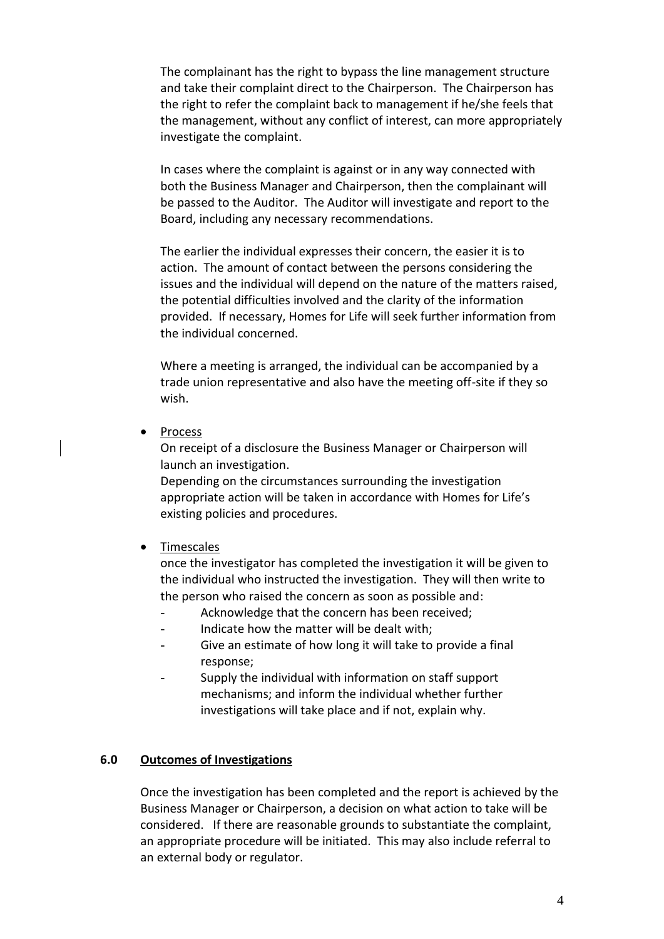The complainant has the right to bypass the line management structure and take their complaint direct to the Chairperson. The Chairperson has the right to refer the complaint back to management if he/she feels that the management, without any conflict of interest, can more appropriately investigate the complaint.

In cases where the complaint is against or in any way connected with both the Business Manager and Chairperson, then the complainant will be passed to the Auditor. The Auditor will investigate and report to the Board, including any necessary recommendations.

The earlier the individual expresses their concern, the easier it is to action. The amount of contact between the persons considering the issues and the individual will depend on the nature of the matters raised, the potential difficulties involved and the clarity of the information provided. If necessary, Homes for Life will seek further information from the individual concerned.

Where a meeting is arranged, the individual can be accompanied by a trade union representative and also have the meeting off-site if they so wish.

**Process** 

On receipt of a disclosure the Business Manager or Chairperson will launch an investigation.

Depending on the circumstances surrounding the investigation appropriate action will be taken in accordance with Homes for Life's existing policies and procedures.

#### • Timescales

once the investigator has completed the investigation it will be given to the individual who instructed the investigation. They will then write to the person who raised the concern as soon as possible and:

- Acknowledge that the concern has been received;
- Indicate how the matter will be dealt with;
- Give an estimate of how long it will take to provide a final response;
- Supply the individual with information on staff support mechanisms; and inform the individual whether further investigations will take place and if not, explain why.

#### **6.0 Outcomes of Investigations**

Once the investigation has been completed and the report is achieved by the Business Manager or Chairperson, a decision on what action to take will be considered. If there are reasonable grounds to substantiate the complaint, an appropriate procedure will be initiated. This may also include referral to an external body or regulator.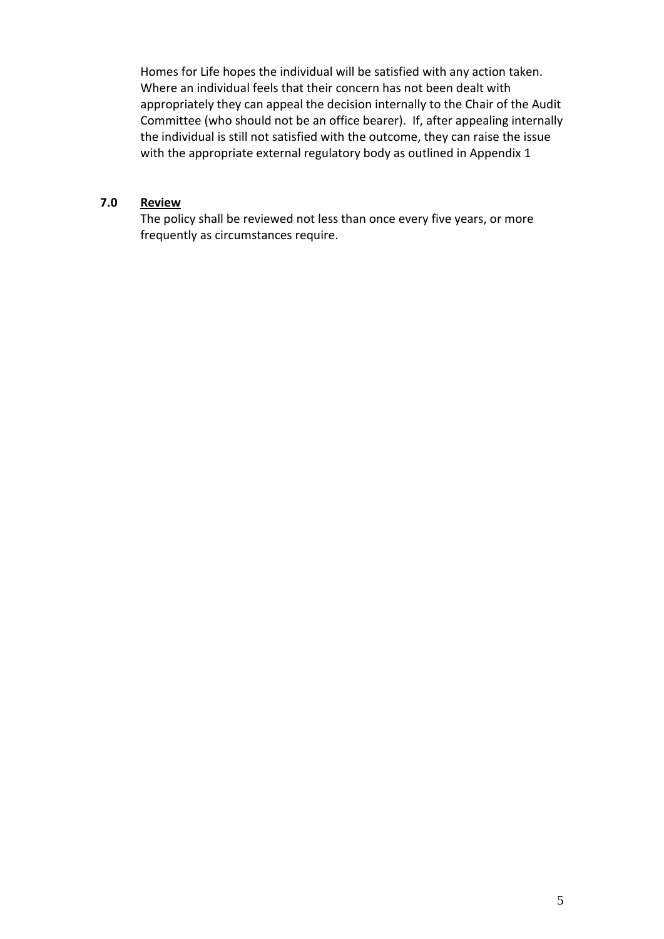Homes for Life hopes the individual will be satisfied with any action taken. Where an individual feels that their concern has not been dealt with appropriately they can appeal the decision internally to the Chair of the Audit Committee (who should not be an office bearer). If, after appealing internally the individual is still not satisfied with the outcome, they can raise the issue with the appropriate external regulatory body as outlined in Appendix 1

#### **7.0 Review**

The policy shall be reviewed not less than once every five years, or more frequently as circumstances require.